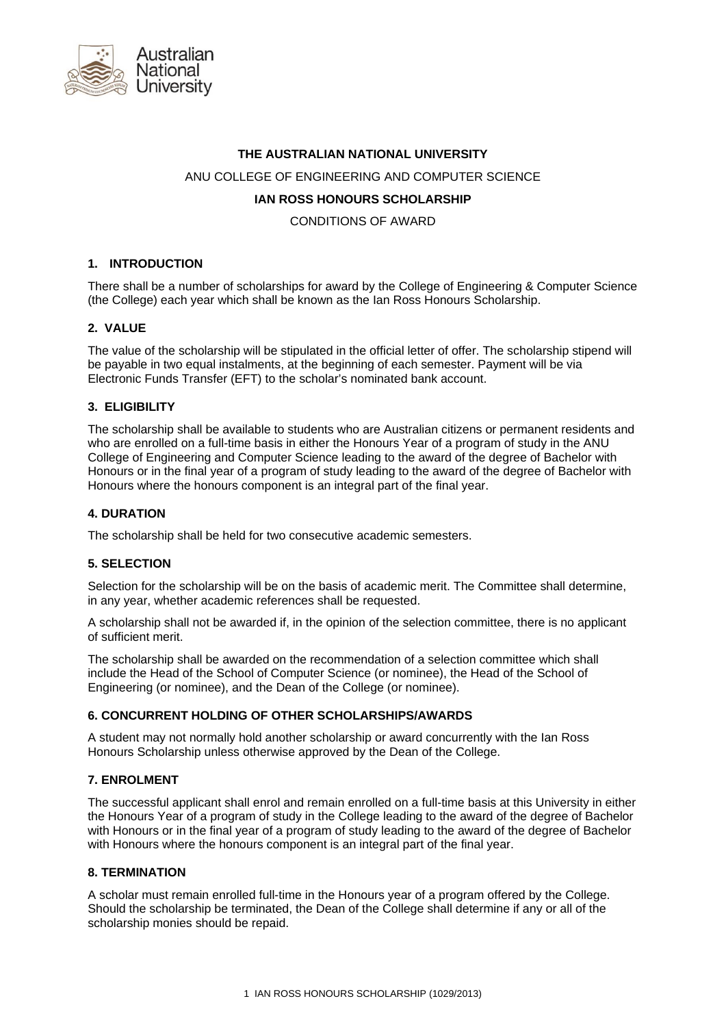

### **THE AUSTRALIAN NATIONAL UNIVERSITY**

#### ANU COLLEGE OF ENGINEERING AND COMPUTER SCIENCE

## **IAN ROSS HONOURS SCHOLARSHIP**

CONDITIONS OF AWARD

## **1. INTRODUCTION**

There shall be a number of scholarships for award by the College of Engineering & Computer Science (the College) each year which shall be known as the Ian Ross Honours Scholarship.

## **2. VALUE**

The value of the scholarship will be stipulated in the official letter of offer. The scholarship stipend will be payable in two equal instalments, at the beginning of each semester. Payment will be via Electronic Funds Transfer (EFT) to the scholar's nominated bank account.

#### **3. ELIGIBILITY**

The scholarship shall be available to students who are Australian citizens or permanent residents and who are enrolled on a full-time basis in either the Honours Year of a program of study in the ANU College of Engineering and Computer Science leading to the award of the degree of Bachelor with Honours or in the final year of a program of study leading to the award of the degree of Bachelor with Honours where the honours component is an integral part of the final year.

#### **4. DURATION**

The scholarship shall be held for two consecutive academic semesters.

#### **5. SELECTION**

Selection for the scholarship will be on the basis of academic merit. The Committee shall determine, in any year, whether academic references shall be requested.

A scholarship shall not be awarded if, in the opinion of the selection committee, there is no applicant of sufficient merit.

The scholarship shall be awarded on the recommendation of a selection committee which shall include the Head of the School of Computer Science (or nominee), the Head of the School of Engineering (or nominee), and the Dean of the College (or nominee).

#### **6. CONCURRENT HOLDING OF OTHER SCHOLARSHIPS/AWARDS**

A student may not normally hold another scholarship or award concurrently with the Ian Ross Honours Scholarship unless otherwise approved by the Dean of the College.

## **7. ENROLMENT**

The successful applicant shall enrol and remain enrolled on a full-time basis at this University in either the Honours Year of a program of study in the College leading to the award of the degree of Bachelor with Honours or in the final year of a program of study leading to the award of the degree of Bachelor with Honours where the honours component is an integral part of the final year.

#### **8. TERMINATION**

A scholar must remain enrolled full-time in the Honours year of a program offered by the College. Should the scholarship be terminated, the Dean of the College shall determine if any or all of the scholarship monies should be repaid.